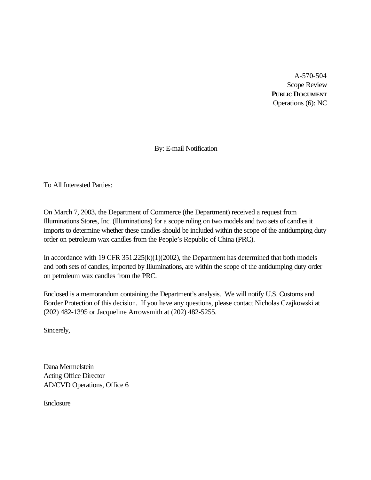A-570-504 Scope Review **PUBLIC DOCUMENT** Operations (6): NC

By: E-mail Notification

To All Interested Parties:

On March 7, 2003, the Department of Commerce (the Department) received a request from Illuminations Stores, Inc. (Illuminations) for a scope ruling on two models and two sets of candles it imports to determine whether these candles should be included within the scope of the antidumping duty order on petroleum wax candles from the People's Republic of China (PRC).

In accordance with 19 CFR 351.225(k)(1)(2002), the Department has determined that both models and both sets of candles, imported by Illuminations, are within the scope of the antidumping duty order on petroleum wax candles from the PRC.

Enclosed is a memorandum containing the Department's analysis. We will notify U.S. Customs and Border Protection of this decision. If you have any questions, please contact Nicholas Czajkowski at (202) 482-1395 or Jacqueline Arrowsmith at (202) 482-5255.

Sincerely,

Dana Mermelstein Acting Office Director AD/CVD Operations, Office 6

Enclosure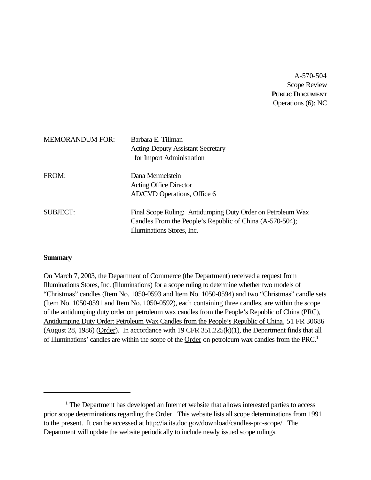A-570-504 Scope Review **PUBLIC DOCUMENT** Operations (6): NC

| <b>MEMORANDUM FOR:</b> | Barbara E. Tillman<br><b>Acting Deputy Assistant Secretary</b><br>for Import Administration                                                           |
|------------------------|-------------------------------------------------------------------------------------------------------------------------------------------------------|
| FROM:                  | Dana Mermelstein<br><b>Acting Office Director</b><br>AD/CVD Operations, Office 6                                                                      |
| <b>SUBJECT:</b>        | Final Scope Ruling: Antidumping Duty Order on Petroleum Wax<br>Candles From the People's Republic of China (A-570-504);<br>Illuminations Stores, Inc. |

### **Summary**

On March 7, 2003, the Department of Commerce (the Department) received a request from Illuminations Stores, Inc. (Illuminations) for a scope ruling to determine whether two models of "Christmas" candles (Item No. 1050-0593 and Item No. 1050-0594) and two "Christmas" candle sets (Item No. 1050-0591 and Item No. 1050-0592), each containing three candles, are within the scope of the antidumping duty order on petroleum wax candles from the People's Republic of China (PRC), Antidumping Duty Order: Petroleum Wax Candles from the People's Republic of China, 51 FR 30686 (August 28, 1986) (Order). In accordance with 19 CFR  $351.225(k)(1)$ , the Department finds that all of Illuminations' candles are within the scope of the Order on petroleum wax candles from the PRC.<sup>1</sup>

<sup>&</sup>lt;sup>1</sup> The Department has developed an Internet website that allows interested parties to access prior scope determinations regarding the Order. This website lists all scope determinations from 1991 to the present. It can be accessed at http://ia.ita.doc.gov/download/candles-prc-scope/. The Department will update the website periodically to include newly issued scope rulings.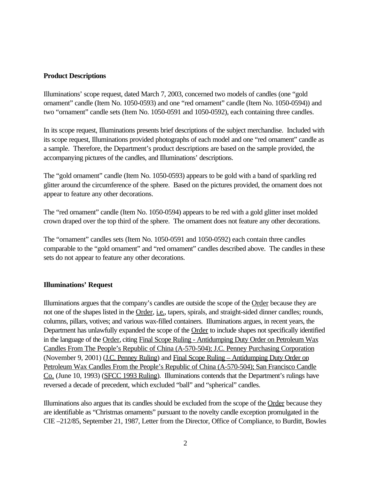## **Product Descriptions**

Illuminations' scope request, dated March 7, 2003, concerned two models of candles (one "gold ornament" candle (Item No. 1050-0593) and one "red ornament" candle (Item No. 1050-0594)) and two "ornament" candle sets (Item No. 1050-0591 and 1050-0592), each containing three candles.

In its scope request, Illuminations presents brief descriptions of the subject merchandise. Included with its scope request, Illuminations provided photographs of each model and one "red ornament" candle as a sample. Therefore, the Department's product descriptions are based on the sample provided, the accompanying pictures of the candles, and Illuminations' descriptions.

The "gold ornament" candle (Item No. 1050-0593) appears to be gold with a band of sparkling red glitter around the circumference of the sphere. Based on the pictures provided, the ornament does not appear to feature any other decorations.

The "red ornament" candle (Item No. 1050-0594) appears to be red with a gold glitter inset molded crown draped over the top third of the sphere. The ornament does not feature any other decorations.

The "ornament" candles sets (Item No. 1050-0591 and 1050-0592) each contain three candles comparable to the "gold ornament" and "red ornament" candles described above. The candles in these sets do not appear to feature any other decorations.

## **Illuminations' Request**

Illuminations argues that the company's candles are outside the scope of the Order because they are not one of the shapes listed in the Order, *i.e.*, tapers, spirals, and straight-sided dinner candles; rounds, columns, pillars, votives; and various wax-filled containers. Illuminations argues, in recent years, the Department has unlawfully expanded the scope of the Order to include shapes not specifically identified in the language of the Order, citing Final Scope Ruling - Antidumping Duty Order on Petroleum Wax Candles From The People's Republic of China (A-570-504); J.C. Penney Purchasing Corporation (November 9, 2001) (J.C. Penney Ruling) and Final Scope Ruling – Antidumping Duty Order on Petroleum Wax Candles From the People's Republic of China (A-570-504); San Francisco Candle Co. (June 10, 1993) (SFCC 1993 Ruling). Illuminations contends that the Department's rulings have reversed a decade of precedent, which excluded "ball" and "spherical" candles.

Illuminations also argues that its candles should be excluded from the scope of the Order because they are identifiable as "Christmas ornaments" pursuant to the novelty candle exception promulgated in the CIE –212/85, September 21, 1987, Letter from the Director, Office of Compliance, to Burditt, Bowles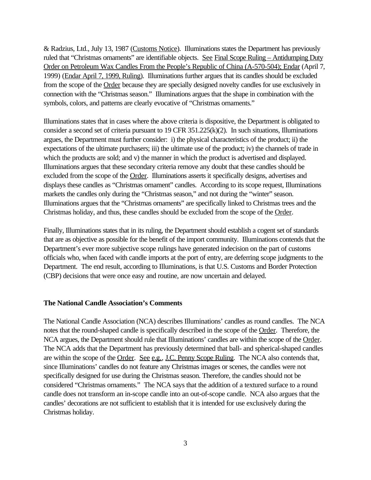& Radzius, Ltd., July 13, 1987 (Customs Notice). Illuminations states the Department has previously ruled that "Christmas ornaments" are identifiable objects. See Final Scope Ruling - Antidumping Duty Order on Petroleum Wax Candles From the People's Republic of China (A-570-504); Endar (April 7, 1999) (Endar April 7, 1999, Ruling). Illuminations further argues that its candles should be excluded from the scope of the Order because they are specially designed novelty candles for use exclusively in connection with the "Christmas season." Illuminations argues that the shape in combination with the symbols, colors, and patterns are clearly evocative of "Christmas ornaments."

Illuminations states that in cases where the above criteria is dispositive, the Department is obligated to consider a second set of criteria pursuant to 19 CFR 351.225(k)(2). In such situations, Illuminations argues, the Department must further consider: i) the physical characteristics of the product; ii) the expectations of the ultimate purchasers; iii) the ultimate use of the product; iv) the channels of trade in which the products are sold; and v) the manner in which the product is advertised and displayed. Illuminations argues that these secondary criteria remove any doubt that these candles should be excluded from the scope of the Order. Illuminations asserts it specifically designs, advertises and displays these candles as "Christmas ornament" candles. According to its scope request, Illuminations markets the candles only during the "Christmas season," and not during the "winter" season. Illuminations argues that the "Christmas ornaments" are specifically linked to Christmas trees and the Christmas holiday, and thus, these candles should be excluded from the scope of the Order.

Finally, Illuminations states that in its ruling, the Department should establish a cogent set of standards that are as objective as possible for the benefit of the import community. Illuminations contends that the Department's ever more subjective scope rulings have generated indecision on the part of customs officials who, when faced with candle imports at the port of entry, are deferring scope judgments to the Department. The end result, according to Illuminations, is that U.S. Customs and Border Protection (CBP) decisions that were once easy and routine, are now uncertain and delayed.

### **The National Candle Association's Comments**

The National Candle Association (NCA) describes Illuminations' candles as round candles. The NCA notes that the round-shaped candle is specifically described in the scope of the Order. Therefore, the NCA argues, the Department should rule that Illuminations' candles are within the scope of the Order. The NCA adds that the Department has previously determined that ball- and spherical-shaped candles are within the scope of the Order. See e.g., J.C. Penny Scope Ruling. The NCA also contends that, since Illuminations' candles do not feature any Christmas images or scenes, the candles were not specifically designed for use during the Christmas season. Therefore, the candles should not be considered "Christmas ornaments." The NCA says that the addition of a textured surface to a round candle does not transform an in-scope candle into an out-of-scope candle. NCA also argues that the candles' decorations are not sufficient to establish that it is intended for use exclusively during the Christmas holiday.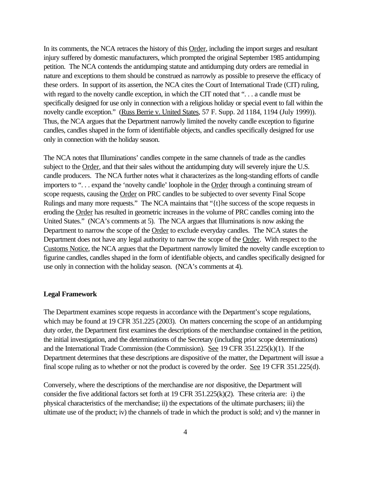In its comments, the NCA retraces the history of this Order, including the import surges and resultant injury suffered by domestic manufacturers, which prompted the original September 1985 antidumping petition. The NCA contends the antidumping statute and antidumping duty orders are remedial in nature and exceptions to them should be construed as narrowly as possible to preserve the efficacy of these orders. In support of its assertion, the NCA cites the Court of International Trade (CIT) ruling, with regard to the novelty candle exception, in which the CIT noted that "... a candle must be specifically designed for use only in connection with a religious holiday or special event to fall within the novelty candle exception." (Russ Berrie v. United States, 57 F. Supp. 2d 1184, 1194 (July 1999)). Thus, the NCA argues that the Department narrowly limited the novelty candle exception to figurine candles, candles shaped in the form of identifiable objects, and candles specifically designed for use only in connection with the holiday season.

The NCA notes that Illuminations' candles compete in the same channels of trade as the candles subject to the Order, and that their sales without the antidumping duty will severely injure the U.S. candle producers. The NCA further notes what it characterizes as the long-standing efforts of candle importers to ". . . expand the 'novelty candle' loophole in the Order through a continuing stream of scope requests, causing the Order on PRC candles to be subjected to over seventy Final Scope Rulings and many more requests." The NCA maintains that "{t}he success of the scope requests in eroding the Order has resulted in geometric increases in the volume of PRC candles coming into the United States." (NCA's comments at 5). The NCA argues that Illuminations is now asking the Department to narrow the scope of the Order to exclude everyday candles. The NCA states the Department does not have any legal authority to narrow the scope of the Order. With respect to the Customs Notice, the NCA argues that the Department narrowly limited the novelty candle exception to figurine candles, candles shaped in the form of identifiable objects, and candles specifically designed for use only in connection with the holiday season. (NCA's comments at 4).

## **Legal Framework**

The Department examines scope requests in accordance with the Department's scope regulations, which may be found at 19 CFR 351.225 (2003). On matters concerning the scope of an antidumping duty order, the Department first examines the descriptions of the merchandise contained in the petition, the initial investigation, and the determinations of the Secretary (including prior scope determinations) and the International Trade Commission (the Commission). See 19 CFR 351.225(k)(1). If the Department determines that these descriptions are dispositive of the matter, the Department will issue a final scope ruling as to whether or not the product is covered by the order. See 19 CFR 351.225(d).

Conversely, where the descriptions of the merchandise are *not* dispositive, the Department will consider the five additional factors set forth at 19 CFR 351.225(k)(2). These criteria are: i) the physical characteristics of the merchandise; ii) the expectations of the ultimate purchasers; iii) the ultimate use of the product; iv) the channels of trade in which the product is sold; and v) the manner in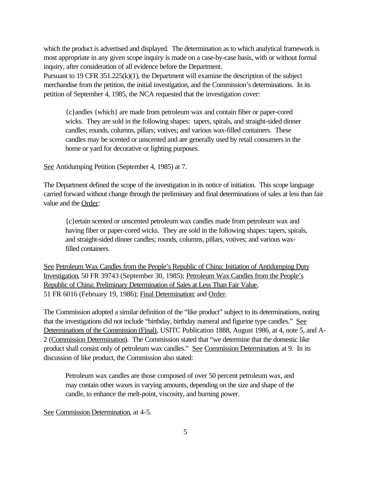which the product is advertised and displayed. The determination as to which analytical framework is most appropriate in any given scope inquiry is made on a case-by-case basis, with or without formal inquiry, after consideration of all evidence before the Department.

Pursuant to 19 CFR 351.225(k)(1), the Department will examine the description of the subject merchandise from the petition, the initial investigation, and the Commission's determinations. In its petition of September 4, 1985, the NCA requested that the investigation cover:

{c}andles {which} are made from petroleum wax and contain fiber or paper-cored wicks. They are sold in the following shapes: tapers, spirals, and straight-sided dinner candles; rounds, columns, pillars; votives; and various wax-filled containers. These candles may be scented or unscented and are generally used by retail consumers in the home or yard for decorative or lighting purposes.

See Antidumping Petition (September 4, 1985) at 7.

The Department defined the scope of the investigation in its notice of initiation. This scope language carried forward without change through the preliminary and final determinations of sales at less than fair value and the Order:

{c}ertain scented or unscented petroleum wax candles made from petroleum wax and having fiber or paper-cored wicks. They are sold in the following shapes: tapers, spirals, and straight-sided dinner candles; rounds, columns, pillars, votives; and various waxfilled containers.

See Petroleum Wax Candles from the People's Republic of China: Initiation of Antidumping Duty Investigation, 50 FR 39743 (September 30, 1985); Petroleum Wax Candles from the People's Republic of China: Preliminary Determination of Sales at Less Than Fair Value, 51 FR 6016 (February 19, 1986); Final Determination; and Order.

The Commission adopted a similar definition of the "like product" subject to its determinations, noting that the investigations did not include "birthday, birthday numeral and figurine type candles." See Determinations of the Commission (Final), USITC Publication 1888, August 1986, at 4, note 5, and A-2 (Commission Determination). The Commission stated that "we determine that the domestic like product shall consist only of petroleum wax candles." See Commission Determination, at 9. In its discussion of like product, the Commission also stated:

Petroleum wax candles are those composed of over 50 percent petroleum wax, and may contain other waxes in varying amounts, depending on the size and shape of the candle, to enhance the melt-point, viscosity, and burning power.

See Commission Determination, at 4-5.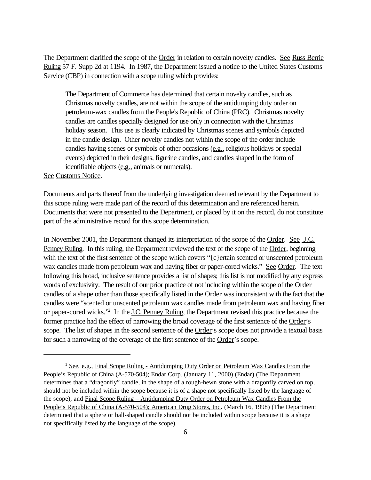The Department clarified the scope of the Order in relation to certain novelty candles. See Russ Berrie Ruling 57 F. Supp 2d at 1194. In 1987, the Department issued a notice to the United States Customs Service (CBP) in connection with a scope ruling which provides:

The Department of Commerce has determined that certain novelty candles, such as Christmas novelty candles, are not within the scope of the antidumping duty order on petroleum-wax candles from the People's Republic of China (PRC). Christmas novelty candles are candles specially designed for use only in connection with the Christmas holiday season. This use is clearly indicated by Christmas scenes and symbols depicted in the candle design. Other novelty candles not within the scope of the order include candles having scenes or symbols of other occasions (e.g., religious holidays or special events) depicted in their designs, figurine candles, and candles shaped in the form of identifiable objects (e.g., animals or numerals).

See Customs Notice.

Documents and parts thereof from the underlying investigation deemed relevant by the Department to this scope ruling were made part of the record of this determination and are referenced herein. Documents that were not presented to the Department, or placed by it on the record, do not constitute part of the administrative record for this scope determination.

In November 2001, the Department changed its interpretation of the scope of the Order. See J.C. Penney Ruling. In this ruling, the Department reviewed the text of the scope of the Order, beginning with the text of the first sentence of the scope which covers "{c}ertain scented or unscented petroleum wax candles made from petroleum wax and having fiber or paper-cored wicks." See Order. The text following this broad, inclusive sentence provides a list of shapes; this list is not modified by any express words of exclusivity. The result of our prior practice of not including within the scope of the Order candles of a shape other than those specifically listed in the Order was inconsistent with the fact that the candles were "scented or unscented petroleum wax candles made from petroleum wax and having fiber or paper-cored wicks."<sup>2</sup> In the <u>J.C. Penney Ruling</u>, the Department revised this practice because the former practice had the effect of narrowing the broad coverage of the first sentence of the Order's scope. The list of shapes in the second sentence of the Order's scope does not provide a textual basis for such a narrowing of the coverage of the first sentence of the Order's scope.

<sup>2</sup> See, e.g., Final Scope Ruling - Antidumping Duty Order on Petroleum Wax Candles From the People's Republic of China (A-570-504); Endar Corp. (January 11, 2000) (Endar) (The Department determines that a "dragonfly" candle, in the shape of a rough-hewn stone with a dragonfly carved on top, should not be included within the scope because it is of a shape not specifically listed by the language of the scope), and Final Scope Ruling – Antidumping Duty Order on Petroleum Wax Candles From the People's Republic of China (A-570-504); American Drug Stores, Inc. (March 16, 1998) (The Department determined that a sphere or ball-shaped candle should not be included within scope because it is a shape not specifically listed by the language of the scope).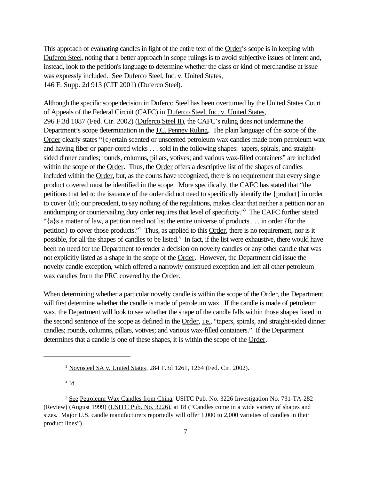This approach of evaluating candles in light of the entire text of the Order's scope is in keeping with Duferco Steel, noting that a better approach in scope rulings is to avoid subjective issues of intent and, instead, look to the petition's language to determine whether the class or kind of merchandise at issue was expressly included. See Duferco Steel, Inc. v. United States, 146 F. Supp. 2d 913 (CIT 2001) (Duferco Steel).

Although the specific scope decision in Duferco Steel has been overturned by the United States Court of Appeals of the Federal Circuit (CAFC) in Duferco Steel, Inc. v. United States, 296 F.3d 1087 (Fed. Cir. 2002) (Duferco Steel II), the CAFC's ruling does not undermine the Department's scope determination in the J.C. Penney Ruling. The plain language of the scope of the Order clearly states "{c}ertain scented or unscented petroleum wax candles made from petroleum wax and having fiber or paper-cored wicks . . . sold in the following shapes: tapers, spirals, and straightsided dinner candles; rounds, columns, pillars, votives; and various wax-filled containers" are included within the scope of the Order. Thus, the Order offers a descriptive list of the shapes of candles included within the Order, but, as the courts have recognized, there is no requirement that every single product covered must be identified in the scope. More specifically, the CAFC has stated that "the petitions that led to the issuance of the order did not need to specifically identify the {product} in order to cover {it}; our precedent, to say nothing of the regulations, makes clear that neither a petition nor an antidumping or countervailing duty order requires that level of specificity." The CAFC further stated "{a}s a matter of law, a petition need not list the entire universe of products . . . in order {for the petition} to cover those products.<sup>4</sup> Thus, as applied to this Order, there is no requirement, nor is it possible, for all the shapes of candles to be listed.<sup>5</sup> In fact, if the list were exhaustive, there would have been no need for the Department to render a decision on novelty candles or any other candle that was not explicitly listed as a shape in the scope of the Order. However, the Department did issue the novelty candle exception, which offered a narrowly construed exception and left all other petroleum wax candles from the PRC covered by the Order.

When determining whether a particular novelty candle is within the scope of the Order, the Department will first determine whether the candle is made of petroleum wax. If the candle is made of petroleum wax, the Department will look to see whether the shape of the candle falls within those shapes listed in the second sentence of the scope as defined in the Order, i.e., "tapers, spirals, and straight-sided dinner candles; rounds, columns, pillars, votives; and various wax-filled containers." If the Department determines that a candle is one of these shapes, it is within the scope of the Order.

 $4$   $\underline{\mathrm{Id}}$ .

<sup>3</sup> Novosteel SA v. United States, 284 F.3d 1261, 1264 (Fed. Cir. 2002).

<sup>5</sup> See Petroleum Wax Candles from China, USITC Pub. No. 3226 Investigation No. 731-TA-282 (Review) (August 1999) (USITC Pub. No. 3226), at 18 ("Candles come in a wide variety of shapes and sizes. Major U.S. candle manufacturers reportedly will offer 1,000 to 2,000 varieties of candles in their product lines").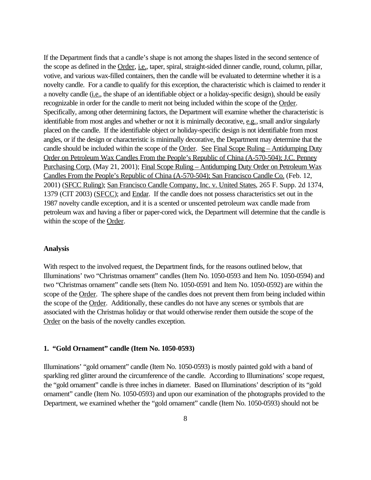If the Department finds that a candle's shape is not among the shapes listed in the second sentence of the scope as defined in the Order, i.e., taper, spiral, straight-sided dinner candle, round, column, pillar, votive, and various wax-filled containers, then the candle will be evaluated to determine whether it is a novelty candle. For a candle to qualify for this exception, the characteristic which is claimed to render it a novelty candle (i.e., the shape of an identifiable object or a holiday-specific design), should be easily recognizable in order for the candle to merit not being included within the scope of the Order. Specifically, among other determining factors, the Department will examine whether the characteristic is identifiable from most angles and whether or not it is minimally decorative, e.g., small and/or singularly placed on the candle. If the identifiable object or holiday-specific design is not identifiable from most angles, or if the design or characteristic is minimally decorative, the Department may determine that the candle should be included within the scope of the Order. See Final Scope Ruling – Antidumping Duty Order on Petroleum Wax Candles From the People's Republic of China (A-570-504); J.C. Penney Purchasing Corp. (May 21, 2001); Final Scope Ruling – Antidumping Duty Order on Petroleum Wax Candles From the People's Republic of China (A-570-504); San Francisco Candle Co. (Feb. 12, 2001) (SFCC Ruling); San Francisco Candle Company, Inc. v. United States, 265 F. Supp. 2d 1374, 1379 (CIT 2003) (SFCC); and Endar. If the candle does not possess characteristics set out in the 1987 novelty candle exception, and it is a scented or unscented petroleum wax candle made from petroleum wax and having a fiber or paper-cored wick, the Department will determine that the candle is within the scope of the Order.

#### **Analysis**

With respect to the involved request, the Department finds, for the reasons outlined below, that Illuminations' two "Christmas ornament" candles (Item No. 1050-0593 and Item No. 1050-0594) and two "Christmas ornament" candle sets (Item No. 1050-0591 and Item No. 1050-0592) are within the scope of the Order. The sphere shape of the candles does not prevent them from being included within the scope of the Order. Additionally, these candles do not have any scenes or symbols that are associated with the Christmas holiday or that would otherwise render them outside the scope of the Order on the basis of the novelty candles exception.

### **1. "Gold Ornament" candle (Item No. 1050-0593)**

Illuminations' "gold ornament" candle (Item No. 1050-0593) is mostly painted gold with a band of sparkling red glitter around the circumference of the candle. According to Illuminations' scope request, the "gold ornament" candle is three inches in diameter. Based on Illuminations' description of its "gold ornament" candle (Item No. 1050-0593) and upon our examination of the photographs provided to the Department, we examined whether the "gold ornament" candle (Item No. 1050-0593) should not be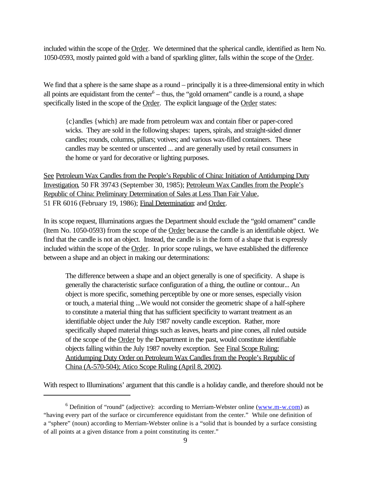included within the scope of the Order. We determined that the spherical candle, identified as Item No. 1050-0593, mostly painted gold with a band of sparkling glitter, falls within the scope of the Order.

We find that a sphere is the same shape as a round – principally it is a three-dimensional entity in which all points are equidistant from the center<sup>6</sup> – thus, the "gold ornament" candle is a round, a shape specifically listed in the scope of the Order. The explicit language of the Order states:

{c}andles {which} are made from petroleum wax and contain fiber or paper-cored wicks. They are sold in the following shapes: tapers, spirals, and straight-sided dinner candles; rounds, columns, pillars; votives; and various wax-filled containers. These candles may be scented or unscented ... and are generally used by retail consumers in the home or yard for decorative or lighting purposes.

See Petroleum Wax Candles from the People's Republic of China: Initiation of Antidumping Duty Investigation, 50 FR 39743 (September 30, 1985); Petroleum Wax Candles from the People's Republic of China: Preliminary Determination of Sales at Less Than Fair Value, 51 FR 6016 (February 19, 1986); Final Determination; and Order.

In its scope request, Illuminations argues the Department should exclude the "gold ornament" candle (Item No. 1050-0593) from the scope of the Order because the candle is an identifiable object. We find that the candle is not an object. Instead, the candle is in the form of a shape that is expressly included within the scope of the Order. In prior scope rulings, we have established the difference between a shape and an object in making our determinations:

The difference between a shape and an object generally is one of specificity. A shape is generally the characteristic surface configuration of a thing, the outline or contour... An object is more specific, something perceptible by one or more senses, especially vision or touch, a material thing ...We would not consider the geometric shape of a half-sphere to constitute a material thing that has sufficient specificity to warrant treatment as an identifiable object under the July 1987 novelty candle exception. Rather, more specifically shaped material things such as leaves, hearts and pine cones, all ruled outside of the scope of the Order by the Department in the past, would constitute identifiable objects falling within the July 1987 novelty exception. See Final Scope Ruling: Antidumping Duty Order on Petroleum Wax Candles from the People's Republic of China (A-570-504); Atico Scope Ruling (April 8, 2002).

With respect to Illuminations' argument that this candle is a holiday candle, and therefore should not be

<sup>&</sup>lt;sup>6</sup> Definition of "round" (adjective): according to Merriam-Webster online  $(\underline{www.m-w.com})$  as "having every part of the surface or circumference equidistant from the center." While one definition of a "sphere" (noun) according to Merriam-Webster online is a "solid that is bounded by a surface consisting of all points at a given distance from a point constituting its center."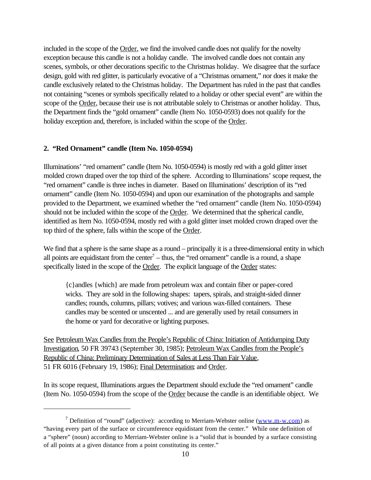included in the scope of the Order, we find the involved candle does not qualify for the novelty exception because this candle is not a holiday candle. The involved candle does not contain any scenes, symbols, or other decorations specific to the Christmas holiday. We disagree that the surface design, gold with red glitter, is particularly evocative of a "Christmas ornament," nor does it make the candle exclusively related to the Christmas holiday. The Department has ruled in the past that candles not containing "scenes or symbols specifically related to a holiday or other special event" are within the scope of the Order, because their use is not attributable solely to Christmas or another holiday. Thus, the Department finds the "gold ornament" candle (Item No. 1050-0593) does not qualify for the holiday exception and, therefore, is included within the scope of the Order.

# **2. "Red Ornament" candle (Item No. 1050-0594)**

Illuminations' "red ornament" candle (Item No. 1050-0594) is mostly red with a gold glitter inset molded crown draped over the top third of the sphere. According to Illuminations' scope request, the "red ornament" candle is three inches in diameter. Based on Illuminations' description of its "red ornament" candle (Item No. 1050-0594) and upon our examination of the photographs and sample provided to the Department, we examined whether the "red ornament" candle (Item No. 1050-0594) should not be included within the scope of the Order. We determined that the spherical candle, identified as Item No. 1050-0594, mostly red with a gold glitter inset molded crown draped over the top third of the sphere, falls within the scope of the Order.

We find that a sphere is the same shape as a round – principally it is a three-dimensional entity in which all points are equidistant from the center<sup> $7$ </sup> – thus, the "red ornament" candle is a round, a shape specifically listed in the scope of the Order. The explicit language of the Order states:

{c}andles {which} are made from petroleum wax and contain fiber or paper-cored wicks. They are sold in the following shapes: tapers, spirals, and straight-sided dinner candles; rounds, columns, pillars; votives; and various wax-filled containers. These candles may be scented or unscented ... and are generally used by retail consumers in the home or yard for decorative or lighting purposes.

See Petroleum Wax Candles from the People's Republic of China: Initiation of Antidumping Duty Investigation, 50 FR 39743 (September 30, 1985); Petroleum Wax Candles from the People's Republic of China: Preliminary Determination of Sales at Less Than Fair Value, 51 FR 6016 (February 19, 1986); Final Determination; and Order.

In its scope request, Illuminations argues the Department should exclude the "red ornament" candle (Item No. 1050-0594) from the scope of the Order because the candle is an identifiable object. We

<sup>&</sup>lt;sup>7</sup> Definition of "round" (adjective): according to Merriam-Webster online  $(\underline{www.m-w.com})$  as "having every part of the surface or circumference equidistant from the center." While one definition of a "sphere" (noun) according to Merriam-Webster online is a "solid that is bounded by a surface consisting of all points at a given distance from a point constituting its center."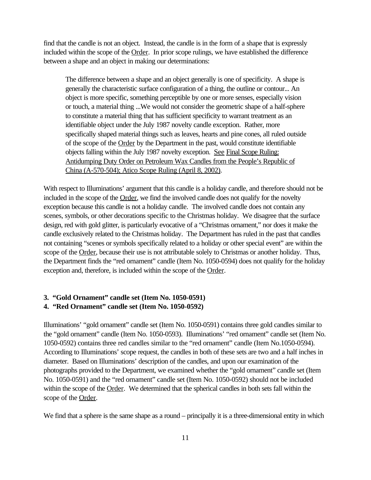find that the candle is not an object. Instead, the candle is in the form of a shape that is expressly included within the scope of the Order. In prior scope rulings, we have established the difference between a shape and an object in making our determinations:

The difference between a shape and an object generally is one of specificity. A shape is generally the characteristic surface configuration of a thing, the outline or contour... An object is more specific, something perceptible by one or more senses, especially vision or touch, a material thing ...We would not consider the geometric shape of a half-sphere to constitute a material thing that has sufficient specificity to warrant treatment as an identifiable object under the July 1987 novelty candle exception. Rather, more specifically shaped material things such as leaves, hearts and pine cones, all ruled outside of the scope of the Order by the Department in the past, would constitute identifiable objects falling within the July 1987 novelty exception. See Final Scope Ruling: Antidumping Duty Order on Petroleum Wax Candles from the People's Republic of China (A-570-504); Atico Scope Ruling (April 8, 2002).

With respect to Illuminations' argument that this candle is a holiday candle, and therefore should not be included in the scope of the Order, we find the involved candle does not qualify for the novelty exception because this candle is not a holiday candle. The involved candle does not contain any scenes, symbols, or other decorations specific to the Christmas holiday. We disagree that the surface design, red with gold glitter, is particularly evocative of a "Christmas ornament," nor does it make the candle exclusively related to the Christmas holiday. The Department has ruled in the past that candles not containing "scenes or symbols specifically related to a holiday or other special event" are within the scope of the Order, because their use is not attributable solely to Christmas or another holiday. Thus, the Department finds the "red ornament" candle (Item No. 1050-0594) does not qualify for the holiday exception and, therefore, is included within the scope of the Order.

## **3. "Gold Ornament" candle set (Item No. 1050-0591) 4. "Red Ornament" candle set (Item No. 1050-0592)**

Illuminations' "gold ornament" candle set (Item No. 1050-0591) contains three gold candles similar to the "gold ornament" candle (Item No. 1050-0593). Illuminations' "red ornament" candle set (Item No. 1050-0592) contains three red candles similar to the "red ornament" candle (Item No.1050-0594). According to Illuminations' scope request, the candles in both of these sets are two and a half inches in diameter. Based on Illuminations' description of the candles, and upon our examination of the photographs provided to the Department, we examined whether the "gold ornament" candle set (Item No. 1050-0591) and the "red ornament" candle set (Item No. 1050-0592) should not be included within the scope of the Order. We determined that the spherical candles in both sets fall within the scope of the Order.

We find that a sphere is the same shape as a round – principally it is a three-dimensional entity in which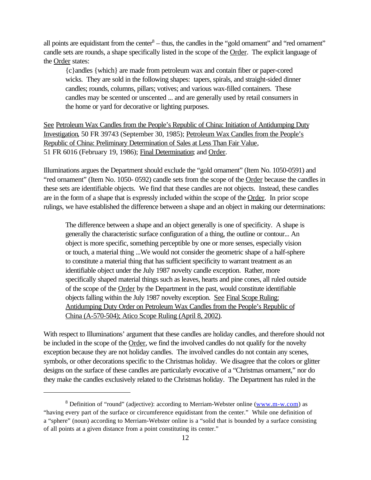all points are equidistant from the center $8 -$  thus, the candles in the "gold ornament" and "red ornament" candle sets are rounds, a shape specifically listed in the scope of the Order. The explicit language of the Order states:

{c}andles {which} are made from petroleum wax and contain fiber or paper-cored wicks. They are sold in the following shapes: tapers, spirals, and straight-sided dinner candles; rounds, columns, pillars; votives; and various wax-filled containers. These candles may be scented or unscented ... and are generally used by retail consumers in the home or yard for decorative or lighting purposes.

See Petroleum Wax Candles from the People's Republic of China: Initiation of Antidumping Duty Investigation, 50 FR 39743 (September 30, 1985); Petroleum Wax Candles from the People's Republic of China: Preliminary Determination of Sales at Less Than Fair Value, 51 FR 6016 (February 19, 1986); Final Determination; and Order.

Illuminations argues the Department should exclude the "gold ornament" (Item No. 1050-0591) and "red ornament" (Item No. 1050- 0592) candle sets from the scope of the Order because the candles in these sets are identifiable objects. We find that these candles are not objects. Instead, these candles are in the form of a shape that is expressly included within the scope of the Order. In prior scope rulings, we have established the difference between a shape and an object in making our determinations:

The difference between a shape and an object generally is one of specificity. A shape is generally the characteristic surface configuration of a thing, the outline or contour... An object is more specific, something perceptible by one or more senses, especially vision or touch, a material thing ...We would not consider the geometric shape of a half-sphere to constitute a material thing that has sufficient specificity to warrant treatment as an identifiable object under the July 1987 novelty candle exception. Rather, more specifically shaped material things such as leaves, hearts and pine cones, all ruled outside of the scope of the Order by the Department in the past, would constitute identifiable objects falling within the July 1987 novelty exception. See Final Scope Ruling: Antidumping Duty Order on Petroleum Wax Candles from the People's Republic of China (A-570-504); Atico Scope Ruling (April 8, 2002).

With respect to Illuminations' argument that these candles are holiday candles, and therefore should not be included in the scope of the Order, we find the involved candles do not qualify for the novelty exception because they are not holiday candles. The involved candles do not contain any scenes, symbols, or other decorations specific to the Christmas holiday. We disagree that the colors or glitter designs on the surface of these candles are particularly evocative of a "Christmas ornament," nor do they make the candles exclusively related to the Christmas holiday. The Department has ruled in the

<sup>&</sup>lt;sup>8</sup> Definition of "round" (adjective): according to Merriam-Webster online (www.m-w.com) as "having every part of the surface or circumference equidistant from the center." While one definition of a "sphere" (noun) according to Merriam-Webster online is a "solid that is bounded by a surface consisting of all points at a given distance from a point constituting its center."